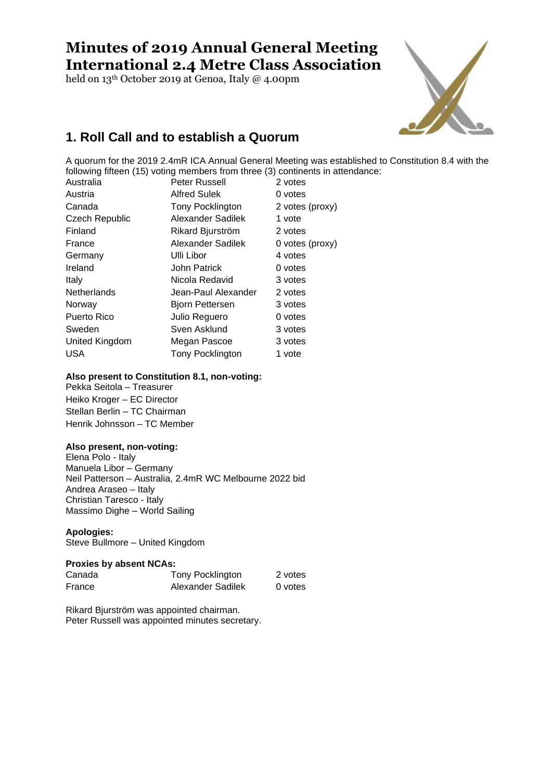# **Minutes of 2019 Annual General Meeting International 2.4 Metre Class Association**

held on 13th October 2019 at Genoa, Italy @ 4.00pm



## **1. Roll Call and to establish a Quorum**

A quorum for the 2019 2.4mR ICA Annual General Meeting was established to Constitution 8.4 with the following fifteen (15) voting members from three (3) continents in attendance:

| Australia             | Peter Russell           | 2 votes         |
|-----------------------|-------------------------|-----------------|
| Austria               | <b>Alfred Sulek</b>     | 0 votes         |
| Canada                | Tony Pocklington        | 2 votes (proxy) |
| <b>Czech Republic</b> | Alexander Sadilek       | 1 vote          |
| Finland               | Rikard Bjurström        | 2 votes         |
| France                | Alexander Sadilek       | 0 votes (proxy) |
| Germany               | Ulli Libor              | 4 votes         |
| Ireland               | <b>John Patrick</b>     | 0 votes         |
| Italy                 | Nicola Redavid          | 3 votes         |
| <b>Netherlands</b>    | Jean-Paul Alexander     | 2 votes         |
| Norway                | Bjorn Pettersen         | 3 votes         |
| Puerto Rico           | Julio Reguero           | 0 votes         |
| Sweden                | Sven Asklund            | 3 votes         |
| United Kingdom        | Megan Pascoe            | 3 votes         |
| <b>USA</b>            | <b>Tony Pocklington</b> | 1 vote          |

### **Also present to Constitution 8.1, non-voting:**

Pekka Seitola – Treasurer Heiko Kroger – EC Director Stellan Berlin – TC Chairman Henrik Johnsson – TC Member

### **Also present, non-voting:**

Elena Polo - Italy Manuela Libor – Germany Neil Patterson – Australia, 2.4mR WC Melbourne 2022 bid Andrea Araseo – Italy Christian Taresco - Italy Massimo Dighe – World Sailing

### **Apologies:**

Steve Bullmore – United Kingdom

### **Proxies by absent NCAs:**

| Canada | Tony Pocklington  | 2 votes |
|--------|-------------------|---------|
| France | Alexander Sadilek | 0 votes |

Rikard Bjurström was appointed chairman. Peter Russell was appointed minutes secretary.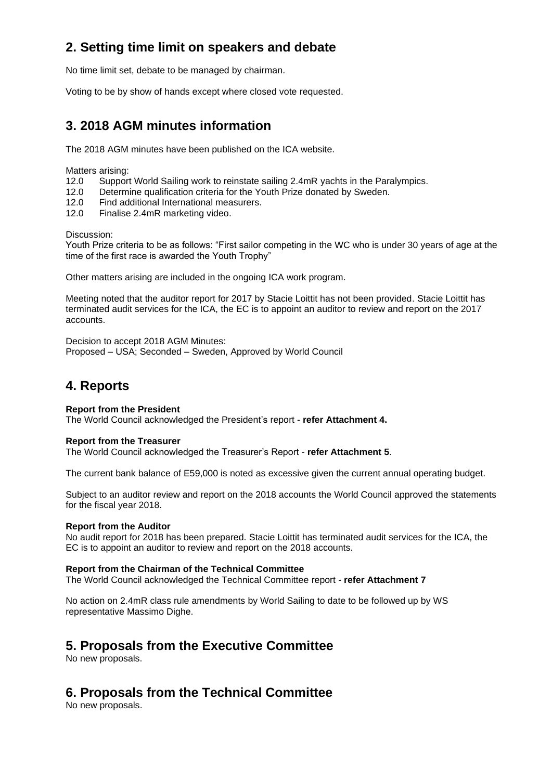## **2. Setting time limit on speakers and debate**

No time limit set, debate to be managed by chairman.

Voting to be by show of hands except where closed vote requested.

## **3. 2018 AGM minutes information**

The 2018 AGM minutes have been published on the ICA website.

Matters arising:

- 12.0 Support World Sailing work to reinstate sailing 2.4mR yachts in the Paralympics.
- 12.0 Determine qualification criteria for the Youth Prize donated by Sweden.
- 12.0 Find additional International measurers.
- 12.0 Finalise 2.4mR marketing video.

Discussion:

Youth Prize criteria to be as follows: "First sailor competing in the WC who is under 30 years of age at the time of the first race is awarded the Youth Trophy"

Other matters arising are included in the ongoing ICA work program.

Meeting noted that the auditor report for 2017 by Stacie Loittit has not been provided. Stacie Loittit has terminated audit services for the ICA, the EC is to appoint an auditor to review and report on the 2017 accounts.

Decision to accept 2018 AGM Minutes: Proposed – USA; Seconded – Sweden, Approved by World Council

## **4. Reports**

### **Report from the President**

The World Council acknowledged the President's report - **refer Attachment 4.**

### **Report from the Treasurer**

The World Council acknowledged the Treasurer's Report - **refer Attachment 5**.

The current bank balance of E59,000 is noted as excessive given the current annual operating budget.

Subject to an auditor review and report on the 2018 accounts the World Council approved the statements for the fiscal year 2018.

### **Report from the Auditor**

No audit report for 2018 has been prepared. Stacie Loittit has terminated audit services for the ICA, the EC is to appoint an auditor to review and report on the 2018 accounts.

### **Report from the Chairman of the Technical Committee**

The World Council acknowledged the Technical Committee report - **refer Attachment 7**

No action on 2.4mR class rule amendments by World Sailing to date to be followed up by WS representative Massimo Dighe.

## **5. Proposals from the Executive Committee**

No new proposals.

## **6. Proposals from the Technical Committee**

No new proposals.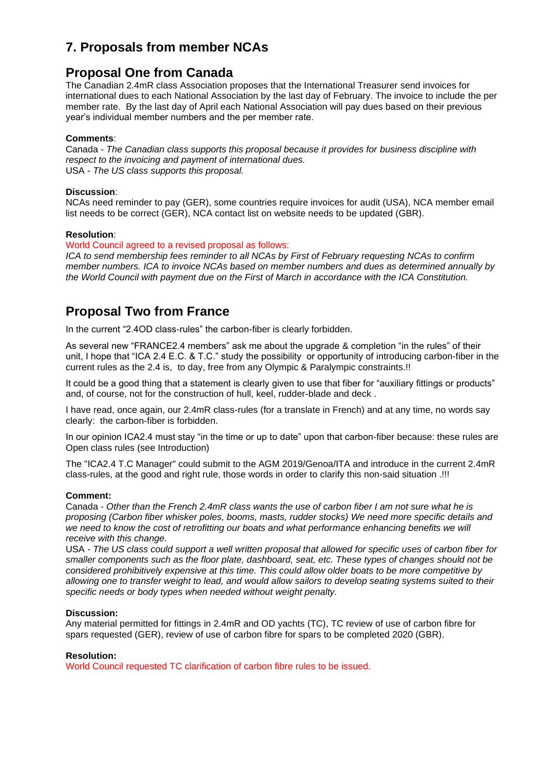## **7. Proposals from member NCAs**

## **Proposal One from Canada**

The Canadian 2.4mR class Association proposes that the International Treasurer send invoices for international dues to each National Association by the last day of February. The invoice to include the per member rate. By the last day of April each National Association will pay dues based on their previous year's individual member numbers and the per member rate.

### **Comments**:

Canada - *The Canadian class supports this proposal because it provides for business discipline with respect to the invoicing and payment of international dues.* USA - *The US class supports this proposal.*

### **Discussion**:

NCAs need reminder to pay (GER), some countries require invoices for audit (USA), NCA member email list needs to be correct (GER), NCA contact list on website needs to be updated (GBR).

### **Resolution**:

### World Council agreed to a revised proposal as follows:

*ICA to send membership fees reminder to all NCAs by First of February requesting NCAs to confirm member numbers. ICA to invoice NCAs based on member numbers and dues as determined annually by the World Council with payment due on the First of March in accordance with the ICA Constitution.*

## **Proposal Two from France**

In the current "2.4OD class-rules" the carbon-fiber is clearly forbidden.

As several new "FRANCE2.4 members" ask me about the upgrade & completion "in the rules" of their unit, I hope that "ICA 2.4 E.C. & T.C." study the possibility or opportunity of introducing carbon-fiber in the current rules as the 2.4 is, to day, free from any Olympic & Paralympic constraints.!!

It could be a good thing that a statement is clearly given to use that fiber for "auxiliary fittings or products" and, of course, not for the construction of hull, keel, rudder-blade and deck .

I have read, once again, our 2.4mR class-rules (for a translate in French) and at any time, no words say clearly: the carbon-fiber is forbidden.

In our opinion ICA2.4 must stay "in the time or up to date" upon that carbon-fiber because: these rules are Open class rules (see Introduction)

The "ICA2.4 T.C Manager" could submit to the AGM 2019/Genoa/ITA and introduce in the current 2.4mR class-rules, at the good and right rule, those words in order to clarify this non-said situation .!!!

### **Comment:**

Canada - *Other than the French 2.4mR class wants the use of carbon fiber I am not sure what he is proposing (Carbon fiber whisker poles, booms, masts, rudder stocks) We need more specific details and we need to know the cost of retrofitting our boats and what performance enhancing benefits we will receive with this change.*

USA *- The US class could support a well written proposal that allowed for specific uses of carbon fiber for smaller components such as the floor plate, dashboard, seat, etc. These types of changes should not be considered prohibitively expensive at this time. This could allow older boats to be more competitive by allowing one to transfer weight to lead, and would allow sailors to develop seating systems suited to their specific needs or body types when needed without weight penalty.*

### **Discussion:**

Any material permitted for fittings in 2.4mR and OD yachts (TC), TC review of use of carbon fibre for spars requested (GER), review of use of carbon fibre for spars to be completed 2020 (GBR).

### **Resolution:**

World Council requested TC clarification of carbon fibre rules to be issued.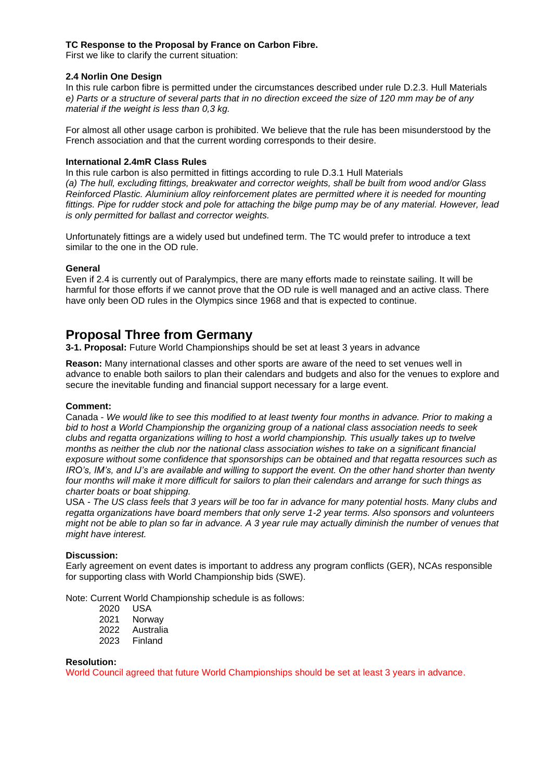### **TC Response to the Proposal by France on Carbon Fibre.**

First we like to clarify the current situation:

### **2.4 Norlin One Design**

In this rule carbon fibre is permitted under the circumstances described under rule D.2.3. Hull Materials *e) Parts or a structure of several parts that in no direction exceed the size of 120 mm may be of any material if the weight is less than 0,3 kg.*

For almost all other usage carbon is prohibited. We believe that the rule has been misunderstood by the French association and that the current wording corresponds to their desire.

### **International 2.4mR Class Rules**

In this rule carbon is also permitted in fittings according to rule D.3.1 Hull Materials *(a) The hull, excluding fittings, breakwater and corrector weights, shall be built from wood and/or Glass Reinforced Plastic. Aluminium alloy reinforcement plates are permitted where it is needed for mounting fittings. Pipe for rudder stock and pole for attaching the bilge pump may be of any material. However, lead is only permitted for ballast and corrector weights.*

Unfortunately fittings are a widely used but undefined term. The TC would prefer to introduce a text similar to the one in the OD rule.

### **General**

Even if 2.4 is currently out of Paralympics, there are many efforts made to reinstate sailing. It will be harmful for those efforts if we cannot prove that the OD rule is well managed and an active class. There have only been OD rules in the Olympics since 1968 and that is expected to continue.

### **Proposal Three from Germany**

**3-1. Proposal:** Future World Championships should be set at least 3 years in advance

**Reason:** Many international classes and other sports are aware of the need to set venues well in advance to enable both sailors to plan their calendars and budgets and also for the venues to explore and secure the inevitable funding and financial support necessary for a large event.

### **Comment:**

Canada - *We would like to see this modified to at least twenty four months in advance. Prior to making a bid to host a World Championship the organizing group of a national class association needs to seek clubs and regatta organizations willing to host a world championship. This usually takes up to twelve months as neither the club nor the national class association wishes to take on a significant financial exposure without some confidence that sponsorships can be obtained and that regatta resources such as IRO's, IM's, and IJ's are available and willing to support the event. On the other hand shorter than twenty four months will make it more difficult for sailors to plan their calendars and arrange for such things as charter boats or boat shipping.*

USA *- The US class feels that 3 years will be too far in advance for many potential hosts. Many clubs and regatta organizations have board members that only serve 1-2 year terms. Also sponsors and volunteers might not be able to plan so far in advance. A 3 year rule may actually diminish the number of venues that might have interest.*

### **Discussion:**

Early agreement on event dates is important to address any program conflicts (GER), NCAs responsible for supporting class with World Championship bids (SWE).

Note: Current World Championship schedule is as follows:

- 2020 USA
- 2021 Norway
- 2022 Australia
- 2023 Finland

### **Resolution:**

World Council agreed that future World Championships should be set at least 3 years in advance.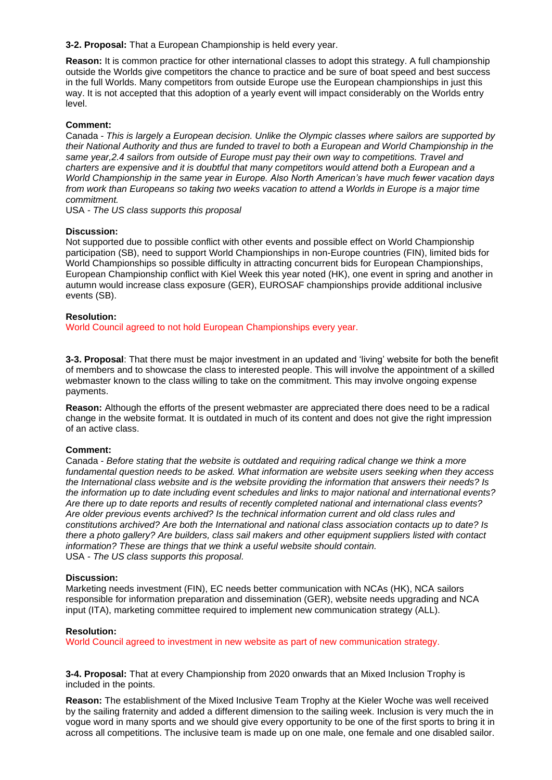**3-2. Proposal:** That a European Championship is held every year.

**Reason:** It is common practice for other international classes to adopt this strategy. A full championship outside the Worlds give competitors the chance to practice and be sure of boat speed and best success in the full Worlds. Many competitors from outside Europe use the European championships in just this way. It is not accepted that this adoption of a yearly event will impact considerably on the Worlds entry level.

### **Comment:**

Canada - *This is largely a European decision. Unlike the Olympic classes where sailors are supported by their National Authority and thus are funded to travel to both a European and World Championship in the same year,2.4 sailors from outside of Europe must pay their own way to competitions. Travel and charters are expensive and it is doubtful that many competitors would attend both a European and a World Championship in the same year in Europe. Also North American's have much fewer vacation days from work than Europeans so taking two weeks vacation to attend a Worlds in Europe is a major time commitment.*

USA *- The US class supports this proposal*

### **Discussion:**

Not supported due to possible conflict with other events and possible effect on World Championship participation (SB), need to support World Championships in non-Europe countries (FIN), limited bids for World Championships so possible difficulty in attracting concurrent bids for European Championships, European Championship conflict with Kiel Week this year noted (HK), one event in spring and another in autumn would increase class exposure (GER), EUROSAF championships provide additional inclusive events (SB).

### **Resolution:**

World Council agreed to not hold European Championships every year.

**3-3. Proposal**: That there must be major investment in an updated and 'living' website for both the benefit of members and to showcase the class to interested people. This will involve the appointment of a skilled webmaster known to the class willing to take on the commitment. This may involve ongoing expense payments.

**Reason:** Although the efforts of the present webmaster are appreciated there does need to be a radical change in the website format. It is outdated in much of its content and does not give the right impression of an active class.

### **Comment:**

Canada - *Before stating that the website is outdated and requiring radical change we think a more fundamental question needs to be asked. What information are website users seeking when they access the International class website and is the website providing the information that answers their needs? Is the information up to date including event schedules and links to major national and international events? Are there up to date reports and results of recently completed national and international class events? Are older previous events archived? Is the technical information current and old class rules and constitutions archived? Are both the International and national class association contacts up to date? Is there a photo gallery? Are builders, class sail makers and other equipment suppliers listed with contact information? These are things that we think a useful website should contain.* USA *- The US class supports this proposal.*

### **Discussion:**

Marketing needs investment (FIN), EC needs better communication with NCAs (HK), NCA sailors responsible for information preparation and dissemination (GER), website needs upgrading and NCA input (ITA), marketing committee required to implement new communication strategy (ALL).

### **Resolution:**

World Council agreed to investment in new website as part of new communication strategy.

**3-4. Proposal:** That at every Championship from 2020 onwards that an Mixed Inclusion Trophy is included in the points.

**Reason:** The establishment of the Mixed Inclusive Team Trophy at the Kieler Woche was well received by the sailing fraternity and added a different dimension to the sailing week. Inclusion is very much the in vogue word in many sports and we should give every opportunity to be one of the first sports to bring it in across all competitions. The inclusive team is made up on one male, one female and one disabled sailor.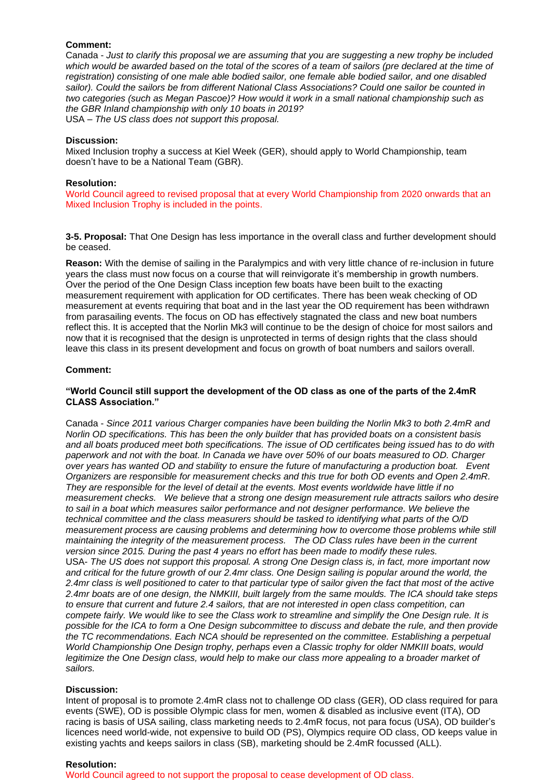### **Comment:**

Canada - *Just to clarify this proposal we are assuming that you are suggesting a new trophy be included which would be awarded based on the total of the scores of a team of sailors (pre declared at the time of registration) consisting of one male able bodied sailor, one female able bodied sailor, and one disabled sailor). Could the sailors be from different National Class Associations? Could one sailor be counted in two categories (such as Megan Pascoe)? How would it work in a small national championship such as the GBR Inland championship with only 10 boats in 2019?* USA *– The US class does not support this proposal.*

### **Discussion:**

Mixed Inclusion trophy a success at Kiel Week (GER), should apply to World Championship, team doesn't have to be a National Team (GBR).

#### **Resolution:**

World Council agreed to revised proposal that at every World Championship from 2020 onwards that an Mixed Inclusion Trophy is included in the points.

**3-5. Proposal:** That One Design has less importance in the overall class and further development should be ceased.

**Reason:** With the demise of sailing in the Paralympics and with very little chance of re-inclusion in future years the class must now focus on a course that will reinvigorate it's membership in growth numbers. Over the period of the One Design Class inception few boats have been built to the exacting measurement requirement with application for OD certificates. There has been weak checking of OD measurement at events requiring that boat and in the last year the OD requirement has been withdrawn from parasailing events. The focus on OD has effectively stagnated the class and new boat numbers reflect this. It is accepted that the Norlin Mk3 will continue to be the design of choice for most sailors and now that it is recognised that the design is unprotected in terms of design rights that the class should leave this class in its present development and focus on growth of boat numbers and sailors overall.

### **Comment:**

### **"World Council still support the development of the OD class as one of the parts of the 2.4mR CLASS Association."**

Canada - *Since 2011 various Charger companies have been building the Norlin Mk3 to both 2.4mR and Norlin OD specifications. This has been the only builder that has provided boats on a consistent basis and all boats produced meet both specifications. The issue of OD certificates being issued has to do with paperwork and not with the boat. In Canada we have over 50% of our boats measured to OD. Charger over years has wanted OD and stability to ensure the future of manufacturing a production boat. Event Organizers are responsible for measurement checks and this true for both OD events and Open 2.4mR. They are responsible for the level of detail at the events. Most events worldwide have little if no measurement checks. We believe that a strong one design measurement rule attracts sailors who desire*  to sail in a boat which measures sailor performance and not designer performance. We believe the *technical committee and the class measurers should be tasked to identifying what parts of the O/D measurement process are causing problems and determining how to overcome those problems while still maintaining the integrity of the measurement process. The OD Class rules have been in the current version since 2015. During the past 4 years no effort has been made to modify these rules.*  USA- *The US does not support this proposal. A strong One Design class is, in fact, more important now and critical for the future growth of our 2.4mr class. One Design sailing is popular around the world, the 2.4mr class is well positioned to cater to that particular type of sailor given the fact that most of the active 2.4mr boats are of one design, the NMKIII, built largely from the same moulds. The ICA should take steps to ensure that current and future 2.4 sailors, that are not interested in open class competition, can compete fairly. We would like to see the Class work to streamline and simplify the One Design rule. It is possible for the ICA to form a One Design subcommittee to discuss and debate the rule, and then provide the TC recommendations. Each NCA should be represented on the committee. Establishing a perpetual World Championship One Design trophy, perhaps even a Classic trophy for older NMKIII boats, would*  legitimize the One Design class, would help to make our class more appealing to a broader market of *sailors.* 

### **Discussion:**

Intent of proposal is to promote 2.4mR class not to challenge OD class (GER), OD class required for para events (SWE), OD is possible Olympic class for men, women & disabled as inclusive event (ITA), OD racing is basis of USA sailing, class marketing needs to 2.4mR focus, not para focus (USA), OD builder's licences need world-wide, not expensive to build OD (PS), Olympics require OD class, OD keeps value in existing yachts and keeps sailors in class (SB), marketing should be 2.4mR focussed (ALL).

#### **Resolution:**

World Council agreed to not support the proposal to cease development of OD class.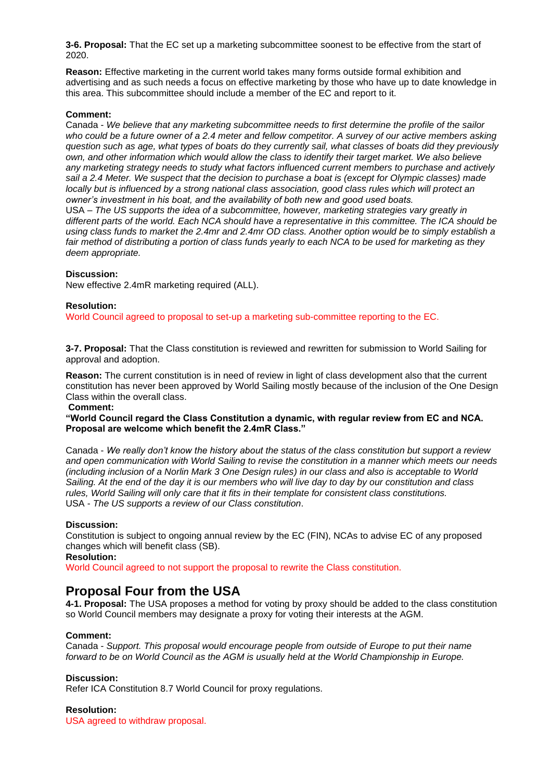**3-6. Proposal:** That the EC set up a marketing subcommittee soonest to be effective from the start of 2020.

**Reason:** Effective marketing in the current world takes many forms outside formal exhibition and advertising and as such needs a focus on effective marketing by those who have up to date knowledge in this area. This subcommittee should include a member of the EC and report to it.

### **Comment:**

Canada - *We believe that any marketing subcommittee needs to first determine the profile of the sailor who could be a future owner of a 2.4 meter and fellow competitor. A survey of our active members asking question such as age, what types of boats do they currently sail, what classes of boats did they previously own, and other information which would allow the class to identify their target market. We also believe any marketing strategy needs to study what factors influenced current members to purchase and actively sail a 2.4 Meter. We suspect that the decision to purchase a boat is (except for Olympic classes) made locally but is influenced by a strong national class association, good class rules which will protect an owner's investment in his boat, and the availability of both new and good used boats.* USA – *The US supports the idea of a subcommittee, however, marketing strategies vary greatly in different parts of the world. Each NCA should have a representative in this committee. The ICA should be using class funds to market the 2.4mr and 2.4mr OD class. Another option would be to simply establish a fair method of distributing a portion of class funds yearly to each NCA to be used for marketing as they deem appropriate.*

#### **Discussion:**

New effective 2.4mR marketing required (ALL).

### **Resolution:**

World Council agreed to proposal to set-up a marketing sub-committee reporting to the EC.

**3-7. Proposal:** That the Class constitution is reviewed and rewritten for submission to World Sailing for approval and adoption.

**Reason:** The current constitution is in need of review in light of class development also that the current constitution has never been approved by World Sailing mostly because of the inclusion of the One Design Class within the overall class.

### **Comment:**

**"World Council regard the Class Constitution a dynamic, with regular review from EC and NCA. Proposal are welcome which benefit the 2.4mR Class."**

Canada - *We really don't know the history about the status of the class constitution but support a review and open communication with World Sailing to revise the constitution in a manner which meets our needs (including inclusion of a Norlin Mark 3 One Design rules) in our class and also is acceptable to World Sailing. At the end of the day it is our members who will live day to day by our constitution and class rules, World Sailing will only care that it fits in their template for consistent class constitutions.*  USA - *The US supports a review of our Class constitution*.

### **Discussion:**

Constitution is subject to ongoing annual review by the EC (FIN), NCAs to advise EC of any proposed changes which will benefit class (SB).

**Resolution:** 

World Council agreed to not support the proposal to rewrite the Class constitution.

### **Proposal Four from the USA**

**4-1. Proposal:** The USA proposes a method for voting by proxy should be added to the class constitution so World Council members may designate a proxy for voting their interests at the AGM.

#### **Comment:**

Canada - *Support. This proposal would encourage people from outside of Europe to put their name forward to be on World Council as the AGM is usually held at the World Championship in Europe.*

#### **Discussion:**

Refer ICA Constitution 8.7 World Council for proxy regulations.

### **Resolution:**

USA agreed to withdraw proposal.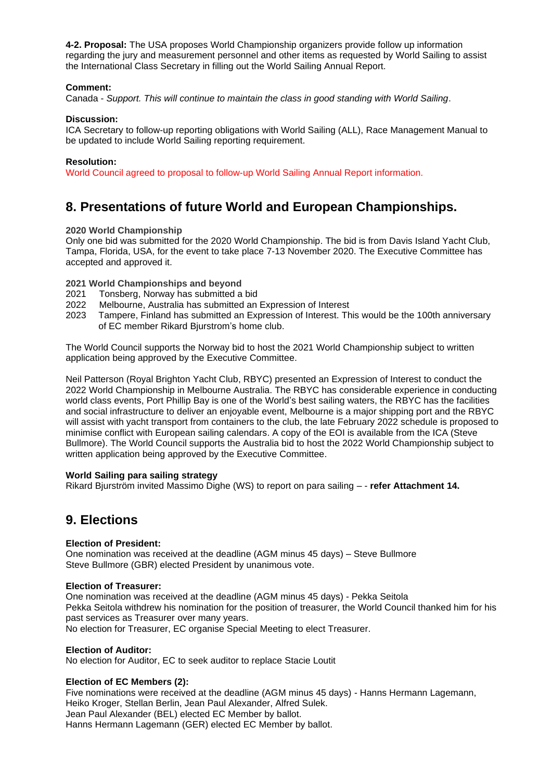**4-2. Proposal:** The USA proposes World Championship organizers provide follow up information regarding the jury and measurement personnel and other items as requested by World Sailing to assist the International Class Secretary in filling out the World Sailing Annual Report.

### **Comment:**

Canada - *Support. This will continue to maintain the class in good standing with World Sailing*.

### **Discussion:**

ICA Secretary to follow-up reporting obligations with World Sailing (ALL), Race Management Manual to be updated to include World Sailing reporting requirement.

### **Resolution:**

World Council agreed to proposal to follow-up World Sailing Annual Report information.

## **8. Presentations of future World and European Championships.**

### **2020 World Championship**

Only one bid was submitted for the 2020 World Championship. The bid is from Davis Island Yacht Club, Tampa, Florida, USA, for the event to take place 7-13 November 2020. The Executive Committee has accepted and approved it.

### **2021 World Championships and beyond**

- 2021 Tonsberg, Norway has submitted a bid
- 2022 Melbourne, Australia has submitted an Expression of Interest
- 2023 Tampere, Finland has submitted an Expression of Interest. This would be the 100th anniversary of EC member Rikard Bjurstrom's home club.

The World Council supports the Norway bid to host the 2021 World Championship subject to written application being approved by the Executive Committee.

Neil Patterson (Royal Brighton Yacht Club, RBYC) presented an Expression of Interest to conduct the 2022 World Championship in Melbourne Australia. The RBYC has considerable experience in conducting world class events, Port Phillip Bay is one of the World's best sailing waters, the RBYC has the facilities and social infrastructure to deliver an enjoyable event, Melbourne is a major shipping port and the RBYC will assist with yacht transport from containers to the club, the late February 2022 schedule is proposed to minimise conflict with European sailing calendars. A copy of the EOI is available from the ICA (Steve Bullmore). The World Council supports the Australia bid to host the 2022 World Championship subject to written application being approved by the Executive Committee.

### **World Sailing para sailing strategy**

Rikard Bjurström invited Massimo Dighe (WS) to report on para sailing – - **refer Attachment 14.**

## **9. Elections**

### **Election of President:**

One nomination was received at the deadline (AGM minus 45 days) – Steve Bullmore Steve Bullmore (GBR) elected President by unanimous vote.

### **Election of Treasurer:**

One nomination was received at the deadline (AGM minus 45 days) - Pekka Seitola Pekka Seitola withdrew his nomination for the position of treasurer, the World Council thanked him for his past services as Treasurer over many years. No election for Treasurer, EC organise Special Meeting to elect Treasurer.

### **Election of Auditor:**

No election for Auditor, EC to seek auditor to replace Stacie Loutit

### **Election of EC Members (2):**

Five nominations were received at the deadline (AGM minus 45 days) - Hanns Hermann Lagemann, Heiko Kroger, Stellan Berlin, Jean Paul Alexander, Alfred Sulek. Jean Paul Alexander (BEL) elected EC Member by ballot. Hanns Hermann Lagemann (GER) elected EC Member by ballot.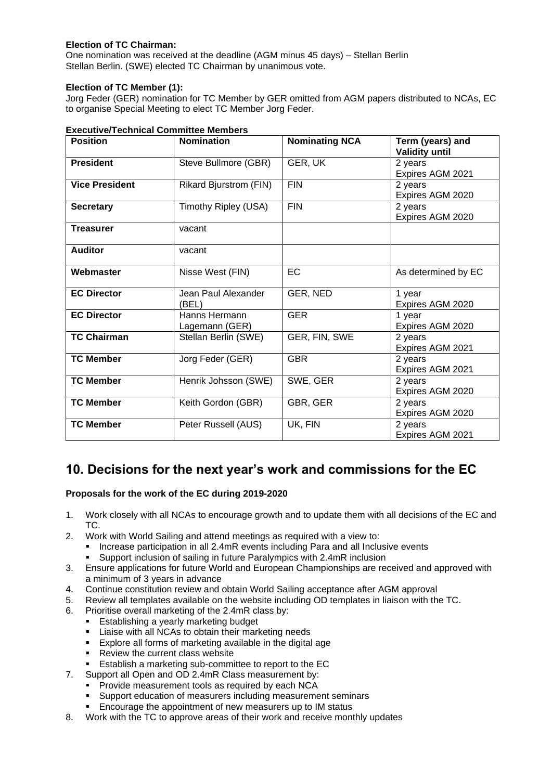### **Election of TC Chairman:**

One nomination was received at the deadline (AGM minus 45 days) – Stellan Berlin Stellan Berlin. (SWE) elected TC Chairman by unanimous vote.

### **Election of TC Member (1):**

Jorg Feder (GER) nomination for TC Member by GER omitted from AGM papers distributed to NCAs, EC to organise Special Meeting to elect TC Member Jorg Feder.

| <b>Position</b>       | <b>Nomination</b>               | <b>Nominating NCA</b> | Term (years) and<br><b>Validity until</b> |
|-----------------------|---------------------------------|-----------------------|-------------------------------------------|
| <b>President</b>      | Steve Bullmore (GBR)            | GER, UK               | 2 years<br>Expires AGM 2021               |
| <b>Vice President</b> | <b>Rikard Bjurstrom (FIN)</b>   | <b>FIN</b>            | 2 years<br>Expires AGM 2020               |
| <b>Secretary</b>      | Timothy Ripley (USA)            | <b>FIN</b>            | 2 years<br>Expires AGM 2020               |
| <b>Treasurer</b>      | vacant                          |                       |                                           |
| <b>Auditor</b>        | vacant                          |                       |                                           |
| Webmaster             | Nisse West (FIN)                | <b>EC</b>             | As determined by EC                       |
| <b>EC Director</b>    | Jean Paul Alexander<br>(BEL)    | GER, NED              | 1 year<br>Expires AGM 2020                |
| <b>EC Director</b>    | Hanns Hermann<br>Lagemann (GER) | <b>GER</b>            | 1 year<br>Expires AGM 2020                |
| <b>TC Chairman</b>    | Stellan Berlin (SWE)            | GER, FIN, SWE         | 2 years<br>Expires AGM 2021               |
| <b>TC Member</b>      | Jorg Feder (GER)                | <b>GBR</b>            | 2 years<br>Expires AGM 2021               |
| <b>TC Member</b>      | Henrik Johsson (SWE)            | SWE, GER              | 2 years<br>Expires AGM 2020               |
| <b>TC Member</b>      | Keith Gordon (GBR)              | GBR, GER              | 2 years<br>Expires AGM 2020               |
| <b>TC Member</b>      | Peter Russell (AUS)             | UK, FIN               | 2 years<br>Expires AGM 2021               |

### **Executive/Technical Committee Members**

## **10. Decisions for the next year's work and commissions for the EC**

### **Proposals for the work of the EC during 2019-2020**

- 1. Work closely with all NCAs to encourage growth and to update them with all decisions of the EC and TC.
- 2. Work with World Sailing and attend meetings as required with a view to:
	- Increase participation in all 2.4mR events including Para and all Inclusive events
	- Support inclusion of sailing in future Paralympics with 2.4mR inclusion
- 3. Ensure applications for future World and European Championships are received and approved with a minimum of 3 years in advance
- 4. Continue constitution review and obtain World Sailing acceptance after AGM approval
- 5. Review all templates available on the website including OD templates in liaison with the TC.
- 6. Prioritise overall marketing of the 2.4mR class by:
	- Establishing a yearly marketing budget
	- Liaise with all NCAs to obtain their marketing needs
	- Explore all forms of marketing available in the digital age
	- Review the current class website
	- **Establish a marketing sub-committee to report to the EC**
- 7. Support all Open and OD 2.4mR Class measurement by:
	- **•** Provide measurement tools as required by each NCA
	- Support education of measurers including measurement seminars<br>■ Encourage the appointment of new measurers up to IM status
	- Encourage the appointment of new measurers up to IM status
- 8. Work with the TC to approve areas of their work and receive monthly updates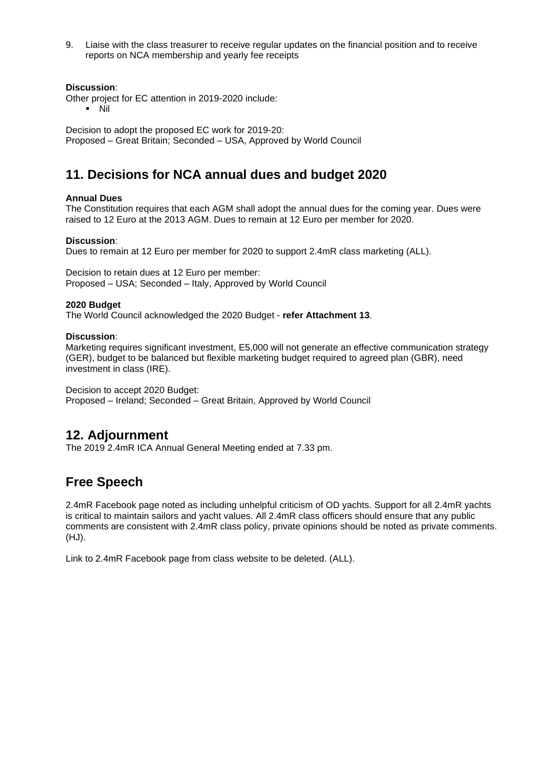9. Liaise with the class treasurer to receive regular updates on the financial position and to receive reports on NCA membership and yearly fee receipts

### **Discussion**:

- Other project for EC attention in 2019-2020 include:
	- $\blacksquare$  Nil

Decision to adopt the proposed EC work for 2019-20: Proposed – Great Britain; Seconded – USA, Approved by World Council

## **11. Decisions for NCA annual dues and budget 2020**

### **Annual Dues**

The Constitution requires that each AGM shall adopt the annual dues for the coming year. Dues were raised to 12 Euro at the 2013 AGM. Dues to remain at 12 Euro per member for 2020.

### **Discussion**:

Dues to remain at 12 Euro per member for 2020 to support 2.4mR class marketing (ALL).

Decision to retain dues at 12 Euro per member: Proposed – USA; Seconded – Italy, Approved by World Council

### **2020 Budget**

The World Council acknowledged the 2020 Budget - **refer Attachment 13**.

### **Discussion**:

Marketing requires significant investment, E5,000 will not generate an effective communication strategy (GER), budget to be balanced but flexible marketing budget required to agreed plan (GBR), need investment in class (IRE).

Decision to accept 2020 Budget:

Proposed – Ireland; Seconded – Great Britain, Approved by World Council

### **12. Adjournment**

The 2019 2.4mR ICA Annual General Meeting ended at 7.33 pm.

## **Free Speech**

2.4mR Facebook page noted as including unhelpful criticism of OD yachts. Support for all 2.4mR yachts is critical to maintain sailors and yacht values. All 2.4mR class officers should ensure that any public comments are consistent with 2.4mR class policy, private opinions should be noted as private comments. (HJ).

Link to 2.4mR Facebook page from class website to be deleted. (ALL).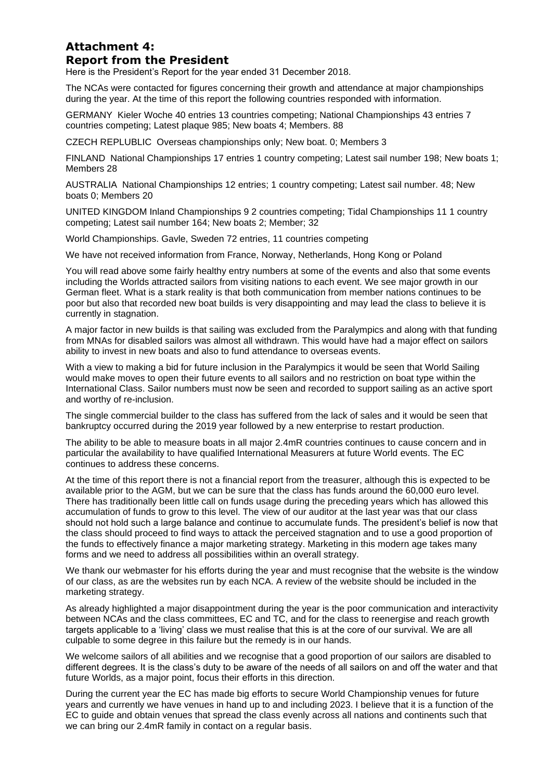### **Attachment 4: Report from the President**

Here is the President's Report for the year ended 31 December 2018.

The NCAs were contacted for figures concerning their growth and attendance at major championships during the year. At the time of this report the following countries responded with information.

GERMANY Kieler Woche 40 entries 13 countries competing; National Championships 43 entries 7 countries competing; Latest plaque 985; New boats 4; Members. 88

CZECH REPLUBLIC Overseas championships only; New boat. 0; Members 3

FINLAND National Championships 17 entries 1 country competing; Latest sail number 198; New boats 1; Members 28

AUSTRALIA National Championships 12 entries; 1 country competing; Latest sail number. 48; New boats 0; Members 20

UNITED KINGDOM Inland Championships 9 2 countries competing; Tidal Championships 11 1 country competing; Latest sail number 164; New boats 2; Member; 32

World Championships. Gavle, Sweden 72 entries, 11 countries competing

We have not received information from France, Norway, Netherlands, Hong Kong or Poland

You will read above some fairly healthy entry numbers at some of the events and also that some events including the Worlds attracted sailors from visiting nations to each event. We see major growth in our German fleet. What is a stark reality is that both communication from member nations continues to be poor but also that recorded new boat builds is very disappointing and may lead the class to believe it is currently in stagnation.

A major factor in new builds is that sailing was excluded from the Paralympics and along with that funding from MNAs for disabled sailors was almost all withdrawn. This would have had a major effect on sailors ability to invest in new boats and also to fund attendance to overseas events.

With a view to making a bid for future inclusion in the Paralympics it would be seen that World Sailing would make moves to open their future events to all sailors and no restriction on boat type within the International Class. Sailor numbers must now be seen and recorded to support sailing as an active sport and worthy of re-inclusion.

The single commercial builder to the class has suffered from the lack of sales and it would be seen that bankruptcy occurred during the 2019 year followed by a new enterprise to restart production.

The ability to be able to measure boats in all major 2.4mR countries continues to cause concern and in particular the availability to have qualified International Measurers at future World events. The EC continues to address these concerns.

At the time of this report there is not a financial report from the treasurer, although this is expected to be available prior to the AGM, but we can be sure that the class has funds around the 60,000 euro level. There has traditionally been little call on funds usage during the preceding years which has allowed this accumulation of funds to grow to this level. The view of our auditor at the last year was that our class should not hold such a large balance and continue to accumulate funds. The president's belief is now that the class should proceed to find ways to attack the perceived stagnation and to use a good proportion of the funds to effectively finance a major marketing strategy. Marketing in this modern age takes many forms and we need to address all possibilities within an overall strategy.

We thank our webmaster for his efforts during the year and must recognise that the website is the window of our class, as are the websites run by each NCA. A review of the website should be included in the marketing strategy.

As already highlighted a major disappointment during the year is the poor communication and interactivity between NCAs and the class committees, EC and TC, and for the class to reenergise and reach growth targets applicable to a 'living' class we must realise that this is at the core of our survival. We are all culpable to some degree in this failure but the remedy is in our hands.

We welcome sailors of all abilities and we recognise that a good proportion of our sailors are disabled to different degrees. It is the class's duty to be aware of the needs of all sailors on and off the water and that future Worlds, as a major point, focus their efforts in this direction.

During the current year the EC has made big efforts to secure World Championship venues for future years and currently we have venues in hand up to and including 2023. I believe that it is a function of the EC to guide and obtain venues that spread the class evenly across all nations and continents such that we can bring our 2.4mR family in contact on a regular basis.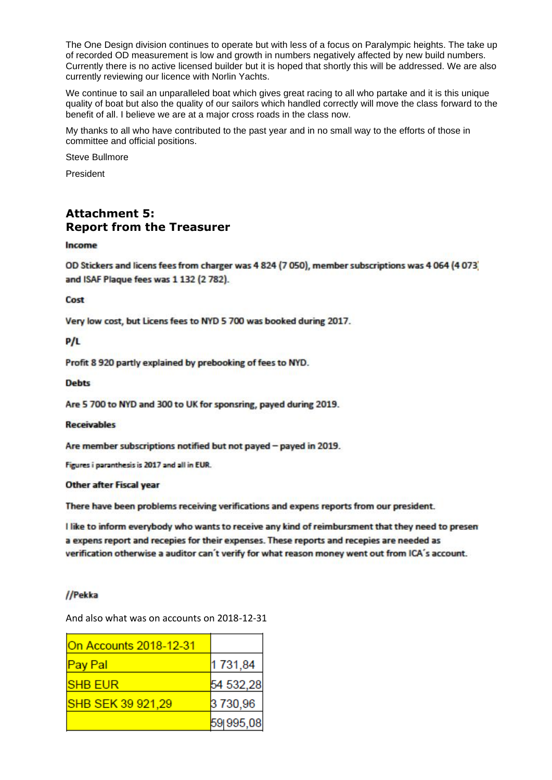The One Design division continues to operate but with less of a focus on Paralympic heights. The take up of recorded OD measurement is low and growth in numbers negatively affected by new build numbers. Currently there is no active licensed builder but it is hoped that shortly this will be addressed. We are also currently reviewing our licence with Norlin Yachts.

We continue to sail an unparalleled boat which gives great racing to all who partake and it is this unique quality of boat but also the quality of our sailors which handled correctly will move the class forward to the benefit of all. I believe we are at a major cross roads in the class now.

My thanks to all who have contributed to the past year and in no small way to the efforts of those in committee and official positions.

Steve Bullmore

President

### **Attachment 5: Report from the Treasurer**

### Income

OD Stickers and licens fees from charger was 4 824 (7 050), member subscriptions was 4 064 (4 073) and ISAF Plaque fees was 1 132 (2 782).

Cost

Very low cost, but Licens fees to NYD 5 700 was booked during 2017.

### $P/L$

Profit 8 920 partly explained by prebooking of fees to NYD.

### **Debts**

Are 5 700 to NYD and 300 to UK for sponsring, payed during 2019.

#### **Receivables**

Are member subscriptions notified but not payed - payed in 2019.

Figures i paranthesis is 2017 and all in EUR.

### **Other after Fiscal year**

There have been problems receiving verifications and expens reports from our president.

I like to inform everybody who wants to receive any kind of reimbursment that they need to presen a expens report and recepies for their expenses. These reports and recepies are needed as verification otherwise a auditor can't verify for what reason money went out from ICA's account.

### //Pekka

And also what was on accounts on 2018-12-31

| <b>On Accounts 2018-12-31</b> |           |
|-------------------------------|-----------|
| <b>Pay Pal</b>                | 1731,84   |
| <b>SHB EUR</b>                | 54 532,28 |
| SHB SEK 39 921,29             | 3 730,96  |
|                               | 59 995,08 |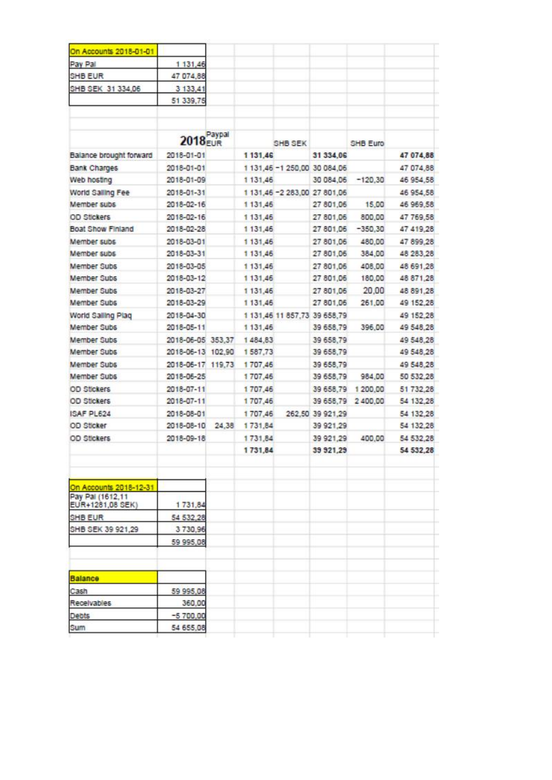| On Accounts 2018-01-01                     |                            |          |         |                              |                    |           |
|--------------------------------------------|----------------------------|----------|---------|------------------------------|--------------------|-----------|
| Pay Pal                                    | 1 131,46                   |          |         |                              |                    |           |
| SHB EUR                                    | 47 074,88                  |          |         |                              |                    |           |
| SHB SEK 31 334,06                          | 3 133,41                   |          |         |                              |                    |           |
|                                            | 51 339,75                  |          |         |                              |                    |           |
|                                            | 2018 <sup>Paypal</sup>     |          | SHB SEK |                              | SHB Euro           |           |
| Balance brought forward                    | 2018-01-01                 | 1 131.46 |         | 31 334,06                    |                    | 47 074,88 |
| Bank Charges                               | 2018-01-01                 |          |         | 1 131,46 -1 250,00 30 084,06 |                    | 47 074,88 |
| Web hosting                                | 2018-01-09                 | 1 131.46 |         |                              | 30 084,06 -120,30  | 46 954,58 |
| World Salling Fee                          | 2018-01-31                 |          |         | 1 131,46 -2 283,00 27 801,06 |                    | 46 954 58 |
| Member subs                                | 2018-02-16                 | 1 131.46 |         | 27 801,06                    | 15,00              | 46 969,58 |
| <b>OD Stickers</b>                         | 2018-02-16                 | 1 131,46 |         | 27 801.06                    | 800.00             | 47 769.58 |
| Boat Show Finland                          | 2018-02-28                 | 1 131,46 |         |                              | 27 801,06 -350,30  | 47 419,28 |
| Member subs                                | 2018-03-01                 | 1131.46  |         | 27 801,06                    | 480,00             | 47 899,28 |
| Member subs                                | 2018-03-31                 | 1131,46  |         |                              | 27 801,06 384,00   | 48 283,28 |
| Member Subs                                | 2018-03-05                 | 1 131,46 |         | 27 801,06                    | 408,00             | 48 691.28 |
| <b>Member Subs</b>                         | 2018-03-12                 | 1 131.46 |         |                              | 27 801,06 180,00   | 48 871.28 |
| Member Subs                                | 2018-03-27                 | 1 131 45 |         | 27 801,06                    | 20,00              | 48 891,28 |
| Member Subs                                | 2018-03-29                 | 1131.46  |         | 27 801.06                    | 261,00             | 49 152,28 |
| World Salling Plag                         | 2018-04-30                 |          |         | 1 131,46 11 857,73 39 658,79 |                    | 49 152,28 |
| Member Subs                                | 2018-05-11                 | 1 131.46 |         | 39 658,79                    | 396,00             | 49 548,28 |
| Member Subs                                | 2018-06-05 353,37 1484,83  |          |         | 39 658,79                    |                    | 49 548.28 |
| <b>Member Subs</b>                         | 2018-06-13 102,90          | 1587,73  |         | 39 658,79                    |                    | 49 548,28 |
| Member Subs                                | 2018-06-17 119,73 1 707,46 |          |         | 39 658,79                    |                    | 49 548,28 |
| Member Subs                                | 2018-06-25                 | 1707,46  |         | 39 658,79                    | 984.00             | 50 532.28 |
| <b>OD Stickers</b>                         | 2018-07-11                 | 1707.46  |         | 39 658.79                    | 1 200,00           | 51 732,28 |
| OD Stickers                                | 2018-07-11                 | 1707.46  |         |                              | 39 658,79 2 400,00 | 54 132,28 |
| ISAF PL624                                 | 2018-08-01                 | 1707,46  |         | 262,50 39 921.29             |                    | 54 132,28 |
| OD Sticker                                 | 2018-08-10 24,38           | 1731,84  |         | 39 921,29                    |                    | 54 132,28 |
| <b>OD Stickers</b>                         | 2018-09-18                 | 1731.84  |         | 39 921,29                    | 400.00             | 54 532,28 |
|                                            |                            | 1731,84  |         | 39 921.29                    |                    | 54 532.28 |
| On Accounts 2018-12-31<br>Pay Pal (1612,11 |                            |          |         |                              |                    |           |
| EUR+1281,08 SEK)                           | 1731,84                    |          |         |                              |                    |           |
| SHB EUR                                    | 54 532,28                  |          |         |                              |                    |           |
| SHB SEK 39 921,29                          | 3730,96<br>59 995,08       |          |         |                              |                    |           |
|                                            |                            |          |         |                              |                    |           |
| Balance                                    |                            |          |         |                              |                    |           |
| Cash                                       | 59 995,08                  |          |         |                              |                    |           |
| Receivables                                | 360,00                     |          |         |                              |                    |           |
| Debts                                      | $-5700,00$                 |          |         |                              |                    |           |
| Sum                                        | 54 655,08                  |          |         |                              |                    |           |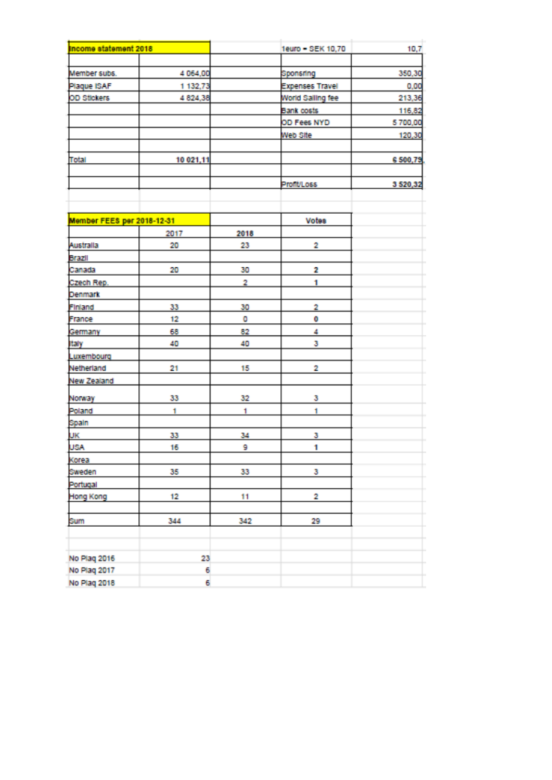| Income statement 2018      |           |      | 1euro - SEK 10,70      | 10,7    |
|----------------------------|-----------|------|------------------------|---------|
|                            |           |      |                        |         |
| Member subs.               | 4 064,00  |      | Sponsning              | 350,30  |
| Plaque ISAF                | 1 132,73  |      | <b>Expenses Travel</b> | 0,00    |
| OD Stickers                | 4 824,38  |      | World Salling fee      | 213,36  |
|                            |           |      | Bank costs             | 116,82  |
|                            |           |      | OD Fees NYD            | 5700,00 |
|                            |           |      | Web Site               | 120,30  |
|                            |           |      |                        |         |
| Total                      | 10 021,11 |      |                        | 6500,79 |
|                            |           |      | Profit/Loss            | 3520,32 |
|                            |           |      |                        |         |
| Member FEES per 2018-12-31 |           |      | <b>Votes</b>           |         |
|                            | 2017      | 2018 |                        |         |
| Australia                  | 20        | 23   | 2                      |         |
| Brazil                     |           |      |                        |         |
| Canada                     | 20        | 30   | 2                      |         |
| Czech Rep.                 |           | 2    | 1                      |         |
| Denmark                    |           |      |                        |         |
| <b>Finland</b>             | 33        | 30   | 2                      |         |
| France                     | 12        | o    | 0                      |         |
| Germany                    | 68        | 82   | 4                      |         |
| <b>Italy</b>               | 40        | 40   | 3                      |         |
| Luxembourg                 |           |      |                        |         |
| Netherland                 | 21        | 15   | 2                      |         |
| New Zealand                |           |      |                        |         |
| Norway                     | 33        | 32   | з                      |         |
| Poland                     | t         | 1    | 1                      |         |
| Spain                      |           |      |                        |         |
| UK                         | 33        | 34   | з                      |         |
| <b>USA</b>                 | 16        | 9    | 1                      |         |
| Korea                      |           |      |                        |         |
| Sweden                     | 35        | 33   | 3                      |         |
| Portugal                   |           |      |                        |         |
| Hong Kong                  | 12        | 11   | 2                      |         |
| Sum                        | 344       | 342  | 29                     |         |
|                            |           |      |                        |         |
| No Plag 2016               | 23        |      |                        |         |
| No Plag 2017               | 6         |      |                        |         |
| No Plag 2018               | 6         |      |                        |         |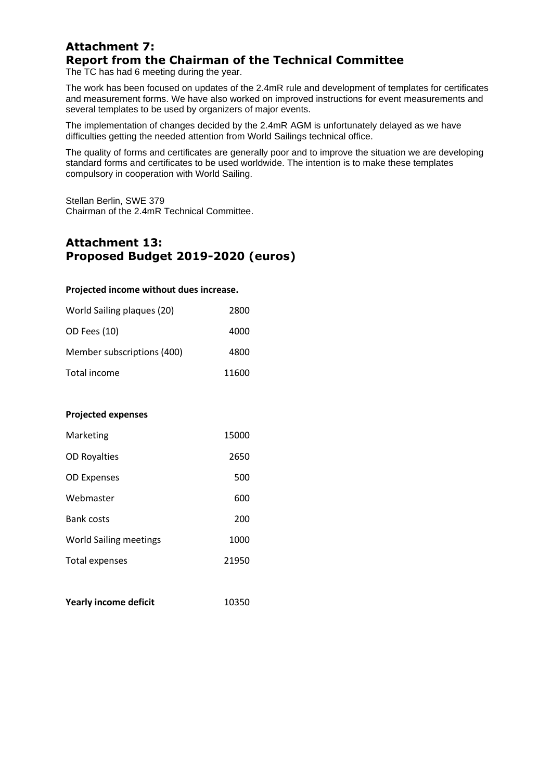## **Attachment 7: Report from the Chairman of the Technical Committee**

The TC has had 6 meeting during the year.

The work has been focused on updates of the 2.4mR rule and development of templates for certificates and measurement forms. We have also worked on improved instructions for event measurements and several templates to be used by organizers of major events.

The implementation of changes decided by the 2.4mR AGM is unfortunately delayed as we have difficulties getting the needed attention from World Sailings technical office.

The quality of forms and certificates are generally poor and to improve the situation we are developing standard forms and certificates to be used worldwide. The intention is to make these templates compulsory in cooperation with World Sailing.

Stellan Berlin, SWE 379 Chairman of the 2.4mR Technical Committee.

### **Attachment 13: Proposed Budget 2019-2020 (euros)**

### **Projected income without dues increase.**

| World Sailing plaques (20) | 2800  |
|----------------------------|-------|
| OD Fees (10)               | 4000  |
| Member subscriptions (400) | 4800  |
| Total income               | 11600 |

### **Projected expenses**

| Marketing                     | 15000 |
|-------------------------------|-------|
| <b>OD Royalties</b>           | 2650  |
| <b>OD Expenses</b>            | 500   |
| Webmaster                     | 600   |
| <b>Bank costs</b>             | 200   |
| <b>World Sailing meetings</b> | 1000  |
| Total expenses                | 21950 |
|                               |       |

| <b>Yearly income deficit</b> | 10350 |
|------------------------------|-------|
|------------------------------|-------|